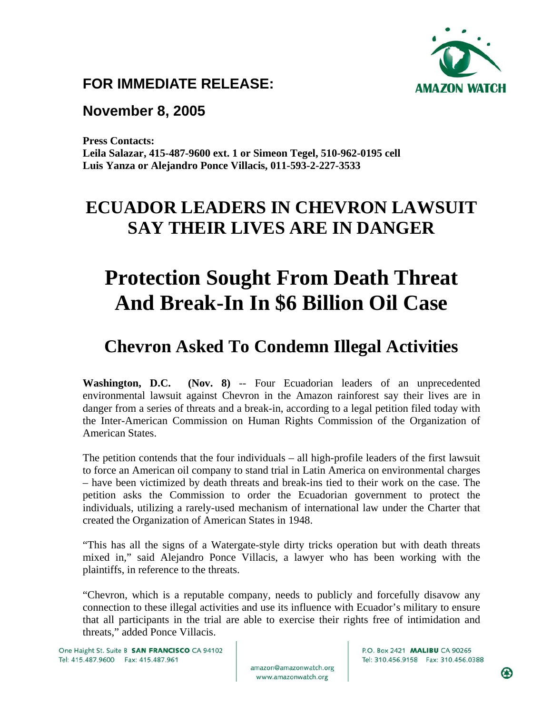

#### **FOR IMMEDIATE RELEASE:**

#### **November 8, 2005**

**Press Contacts: Leila Salazar, 415-487-9600 ext. 1 or Simeon Tegel, 510-962-0195 cell Luis Yanza or Alejandro Ponce Villacis, 011-593-2-227-3533** 

## **ECUADOR LEADERS IN CHEVRON LAWSUIT SAY THEIR LIVES ARE IN DANGER**

# **Protection Sought From Death Threat And Break-In In \$6 Billion Oil Case**

### **Chevron Asked To Condemn Illegal Activities**

**Washington, D.C.** (Nov. 8) -- Four Ecuadorian leaders of an unprecedented environmental lawsuit against Chevron in the Amazon rainforest say their lives are in danger from a series of threats and a break-in, according to a legal petition filed today with the Inter-American Commission on Human Rights Commission of the Organization of American States.

The petition contends that the four individuals – all high-profile leaders of the first lawsuit to force an American oil company to stand trial in Latin America on environmental charges – have been victimized by death threats and break-ins tied to their work on the case. The petition asks the Commission to order the Ecuadorian government to protect the individuals, utilizing a rarely-used mechanism of international law under the Charter that created the Organization of American States in 1948.

"This has all the signs of a Watergate-style dirty tricks operation but with death threats mixed in," said Alejandro Ponce Villacis, a lawyer who has been working with the plaintiffs, in reference to the threats.

"Chevron, which is a reputable company, needs to publicly and forcefully disavow any connection to these illegal activities and use its influence with Ecuador's military to ensure that all participants in the trial are able to exercise their rights free of intimidation and threats," added Ponce Villacis.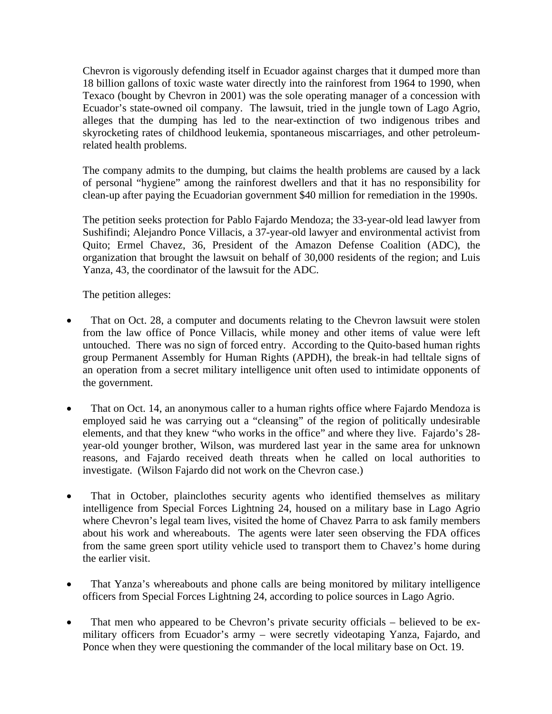Chevron is vigorously defending itself in Ecuador against charges that it dumped more than 18 billion gallons of toxic waste water directly into the rainforest from 1964 to 1990, when Texaco (bought by Chevron in 2001) was the sole operating manager of a concession with Ecuador's state-owned oil company. The lawsuit, tried in the jungle town of Lago Agrio, alleges that the dumping has led to the near-extinction of two indigenous tribes and skyrocketing rates of childhood leukemia, spontaneous miscarriages, and other petroleumrelated health problems.

The company admits to the dumping, but claims the health problems are caused by a lack of personal "hygiene" among the rainforest dwellers and that it has no responsibility for clean-up after paying the Ecuadorian government \$40 million for remediation in the 1990s.

The petition seeks protection for Pablo Fajardo Mendoza; the 33-year-old lead lawyer from Sushifindi; Alejandro Ponce Villacis, a 37-year-old lawyer and environmental activist from Quito; Ermel Chavez, 36, President of the Amazon Defense Coalition (ADC), the organization that brought the lawsuit on behalf of 30,000 residents of the region; and Luis Yanza, 43, the coordinator of the lawsuit for the ADC.

The petition alleges:

- That on Oct. 28, a computer and documents relating to the Chevron lawsuit were stolen from the law office of Ponce Villacis, while money and other items of value were left untouched. There was no sign of forced entry. According to the Quito-based human rights group Permanent Assembly for Human Rights (APDH), the break-in had telltale signs of an operation from a secret military intelligence unit often used to intimidate opponents of the government.
- That on Oct. 14, an anonymous caller to a human rights office where Fajardo Mendoza is employed said he was carrying out a "cleansing" of the region of politically undesirable elements, and that they knew "who works in the office" and where they live. Fajardo's 28 year-old younger brother, Wilson, was murdered last year in the same area for unknown reasons, and Fajardo received death threats when he called on local authorities to investigate. (Wilson Fajardo did not work on the Chevron case.)
- That in October, plainclothes security agents who identified themselves as military intelligence from Special Forces Lightning 24, housed on a military base in Lago Agrio where Chevron's legal team lives, visited the home of Chavez Parra to ask family members about his work and whereabouts. The agents were later seen observing the FDA offices from the same green sport utility vehicle used to transport them to Chavez's home during the earlier visit.
- That Yanza's whereabouts and phone calls are being monitored by military intelligence officers from Special Forces Lightning 24, according to police sources in Lago Agrio.
- That men who appeared to be Chevron's private security officials believed to be exmilitary officers from Ecuador's army – were secretly videotaping Yanza, Fajardo, and Ponce when they were questioning the commander of the local military base on Oct. 19.